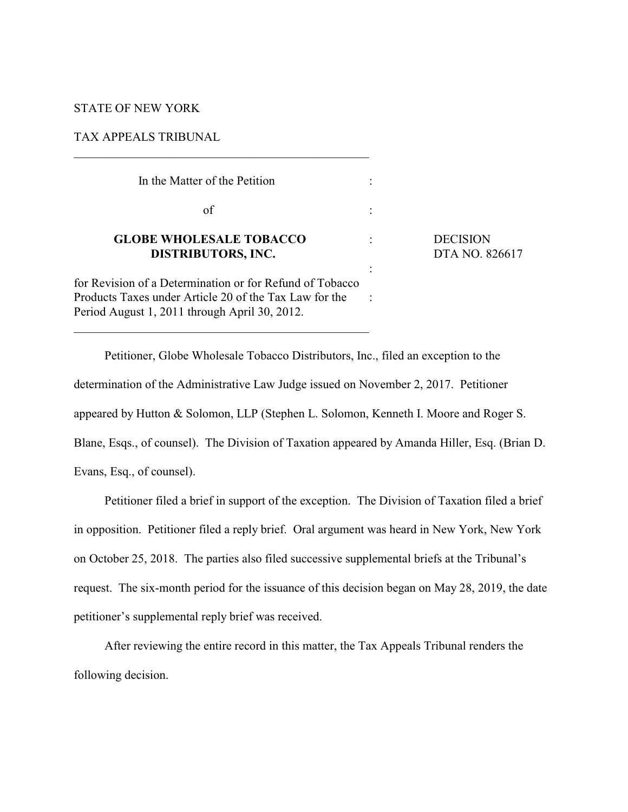# STATE OF NEW YORK

# TAX APPEALS TRIBUNAL

| In the Matter of the Petition                                                                                                                                       |                              |
|---------------------------------------------------------------------------------------------------------------------------------------------------------------------|------------------------------|
| of                                                                                                                                                                  |                              |
| <b>GLOBE WHOLESALE TOBACCO</b><br><b>DISTRIBUTORS, INC.</b>                                                                                                         | <b>DECISION</b><br>DTA NO. 8 |
| for Revision of a Determination or for Refund of Tobacco<br>Products Taxes under Article 20 of the Tax Law for the<br>Period August 1, 2011 through April 30, 2012. |                              |

 $\overline{\phantom{a}}$  , and the set of the set of the set of the set of the set of the set of the set of the set of the set of the set of the set of the set of the set of the set of the set of the set of the set of the set of the s

**NO. 826617** 

Petitioner, Globe Wholesale Tobacco Distributors, Inc., filed an exception to the determination of the Administrative Law Judge issued on November 2, 2017. Petitioner appeared by Hutton & Solomon, LLP (Stephen L. Solomon, Kenneth I. Moore and Roger S. Blane, Esqs., of counsel). The Division of Taxation appeared by Amanda Hiller, Esq. (Brian D. Evans, Esq., of counsel).

Petitioner filed a brief in support of the exception. The Division of Taxation filed a brief in opposition. Petitioner filed a reply brief. Oral argument was heard in New York, New York on October 25, 2018. The parties also filed successive supplemental briefs at the Tribunal's request. The six-month period for the issuance of this decision began on May 28, 2019, the date petitioner's supplemental reply brief was received.

After reviewing the entire record in this matter, the Tax Appeals Tribunal renders the following decision.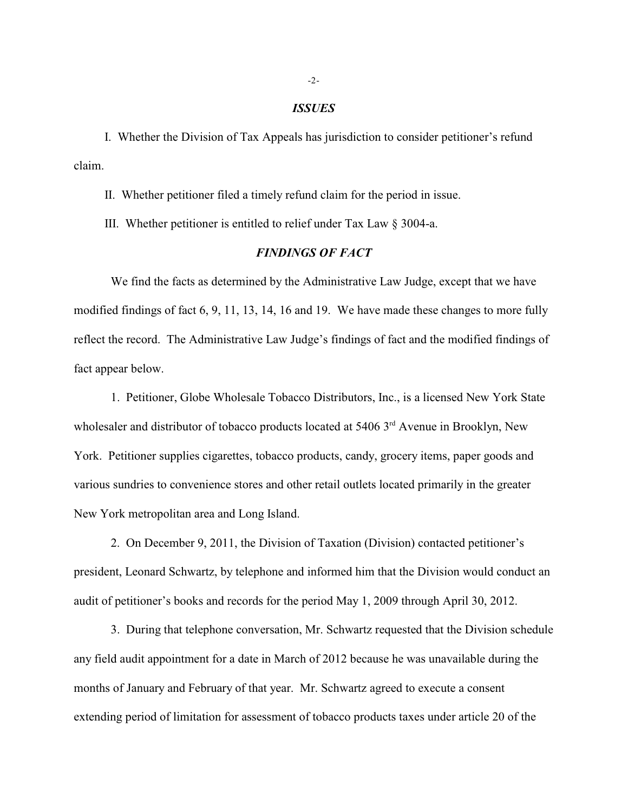#### *ISSUES*

I. Whether the Division of Tax Appeals has jurisdiction to consider petitioner's refund claim.

II. Whether petitioner filed a timely refund claim for the period in issue.

III. Whether petitioner is entitled to relief under Tax Law § 3004-a.

## *FINDINGS OF FACT*

We find the facts as determined by the Administrative Law Judge, except that we have modified findings of fact 6, 9, 11, 13, 14, 16 and 19. We have made these changes to more fully reflect the record. The Administrative Law Judge's findings of fact and the modified findings of fact appear below.

1. Petitioner, Globe Wholesale Tobacco Distributors, Inc., is a licensed New York State wholesaler and distributor of tobacco products located at  $54063<sup>rd</sup>$  Avenue in Brooklyn, New York. Petitioner supplies cigarettes, tobacco products, candy, grocery items, paper goods and various sundries to convenience stores and other retail outlets located primarily in the greater New York metropolitan area and Long Island.

2. On December 9, 2011, the Division of Taxation (Division) contacted petitioner's president, Leonard Schwartz, by telephone and informed him that the Division would conduct an audit of petitioner's books and records for the period May 1, 2009 through April 30, 2012.

3. During that telephone conversation, Mr. Schwartz requested that the Division schedule any field audit appointment for a date in March of 2012 because he was unavailable during the months of January and February of that year. Mr. Schwartz agreed to execute a consent extending period of limitation for assessment of tobacco products taxes under article 20 of the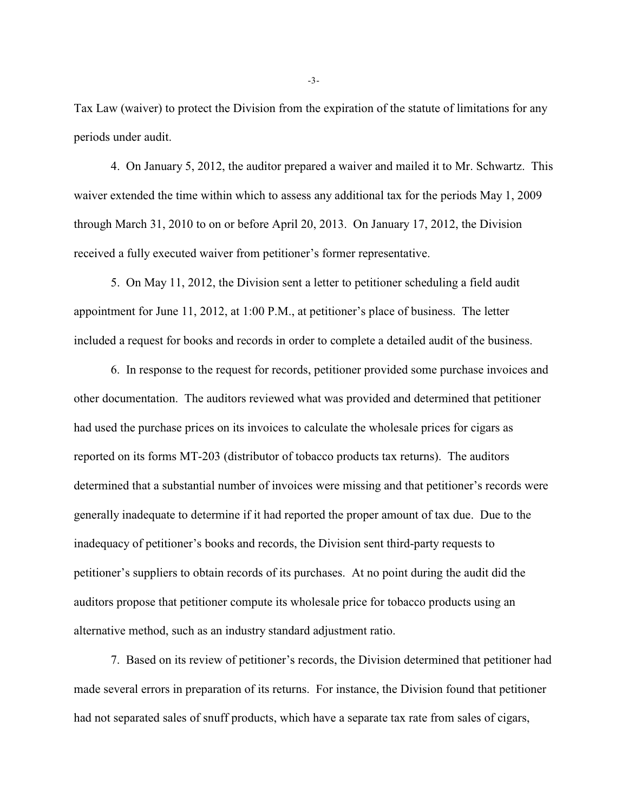Tax Law (waiver) to protect the Division from the expiration of the statute of limitations for any periods under audit.

4. On January 5, 2012, the auditor prepared a waiver and mailed it to Mr. Schwartz. This waiver extended the time within which to assess any additional tax for the periods May 1, 2009 through March 31, 2010 to on or before April 20, 2013. On January 17, 2012, the Division received a fully executed waiver from petitioner's former representative.

5. On May 11, 2012, the Division sent a letter to petitioner scheduling a field audit appointment for June 11, 2012, at 1:00 P.M., at petitioner's place of business. The letter included a request for books and records in order to complete a detailed audit of the business.

6. In response to the request for records, petitioner provided some purchase invoices and other documentation. The auditors reviewed what was provided and determined that petitioner had used the purchase prices on its invoices to calculate the wholesale prices for cigars as reported on its forms MT-203 (distributor of tobacco products tax returns). The auditors determined that a substantial number of invoices were missing and that petitioner's records were generally inadequate to determine if it had reported the proper amount of tax due. Due to the inadequacy of petitioner's books and records, the Division sent third-party requests to petitioner's suppliers to obtain records of its purchases. At no point during the audit did the auditors propose that petitioner compute its wholesale price for tobacco products using an alternative method, such as an industry standard adjustment ratio.

7. Based on its review of petitioner's records, the Division determined that petitioner had made several errors in preparation of its returns. For instance, the Division found that petitioner had not separated sales of snuff products, which have a separate tax rate from sales of cigars,

-3-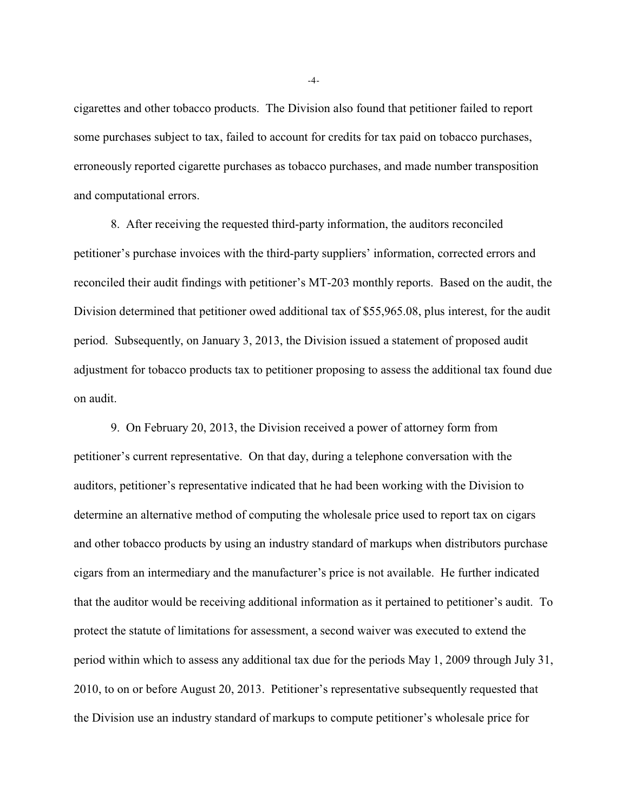cigarettes and other tobacco products. The Division also found that petitioner failed to report some purchases subject to tax, failed to account for credits for tax paid on tobacco purchases, erroneously reported cigarette purchases as tobacco purchases, and made number transposition and computational errors.

8. After receiving the requested third-party information, the auditors reconciled petitioner's purchase invoices with the third-party suppliers' information, corrected errors and reconciled their audit findings with petitioner's MT-203 monthly reports. Based on the audit, the Division determined that petitioner owed additional tax of \$55,965.08, plus interest, for the audit period. Subsequently, on January 3, 2013, the Division issued a statement of proposed audit adjustment for tobacco products tax to petitioner proposing to assess the additional tax found due on audit.

9. On February 20, 2013, the Division received a power of attorney form from petitioner's current representative. On that day, during a telephone conversation with the auditors, petitioner's representative indicated that he had been working with the Division to determine an alternative method of computing the wholesale price used to report tax on cigars and other tobacco products by using an industry standard of markups when distributors purchase cigars from an intermediary and the manufacturer's price is not available. He further indicated that the auditor would be receiving additional information as it pertained to petitioner's audit. To protect the statute of limitations for assessment, a second waiver was executed to extend the period within which to assess any additional tax due for the periods May 1, 2009 through July 31, 2010, to on or before August 20, 2013. Petitioner's representative subsequently requested that the Division use an industry standard of markups to compute petitioner's wholesale price for

-4-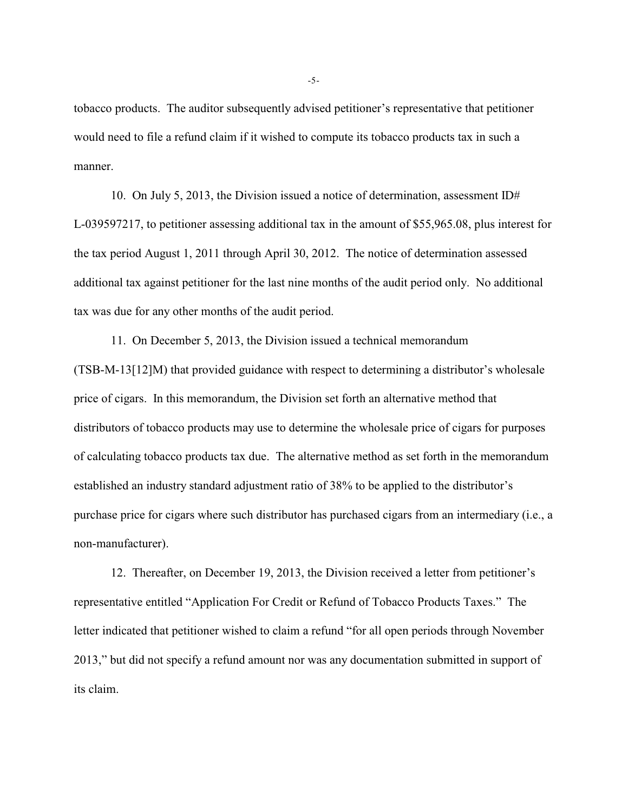tobacco products. The auditor subsequently advised petitioner's representative that petitioner would need to file a refund claim if it wished to compute its tobacco products tax in such a manner.

10. On July 5, 2013, the Division issued a notice of determination, assessment ID# L-039597217, to petitioner assessing additional tax in the amount of \$55,965.08, plus interest for the tax period August 1, 2011 through April 30, 2012. The notice of determination assessed additional tax against petitioner for the last nine months of the audit period only. No additional tax was due for any other months of the audit period.

11. On December 5, 2013, the Division issued a technical memorandum (TSB-M-13[12]M) that provided guidance with respect to determining a distributor's wholesale price of cigars. In this memorandum, the Division set forth an alternative method that distributors of tobacco products may use to determine the wholesale price of cigars for purposes of calculating tobacco products tax due. The alternative method as set forth in the memorandum established an industry standard adjustment ratio of 38% to be applied to the distributor's purchase price for cigars where such distributor has purchased cigars from an intermediary (i.e., a non-manufacturer).

12. Thereafter, on December 19, 2013, the Division received a letter from petitioner's representative entitled "Application For Credit or Refund of Tobacco Products Taxes." The letter indicated that petitioner wished to claim a refund "for all open periods through November 2013," but did not specify a refund amount nor was any documentation submitted in support of its claim.

-5-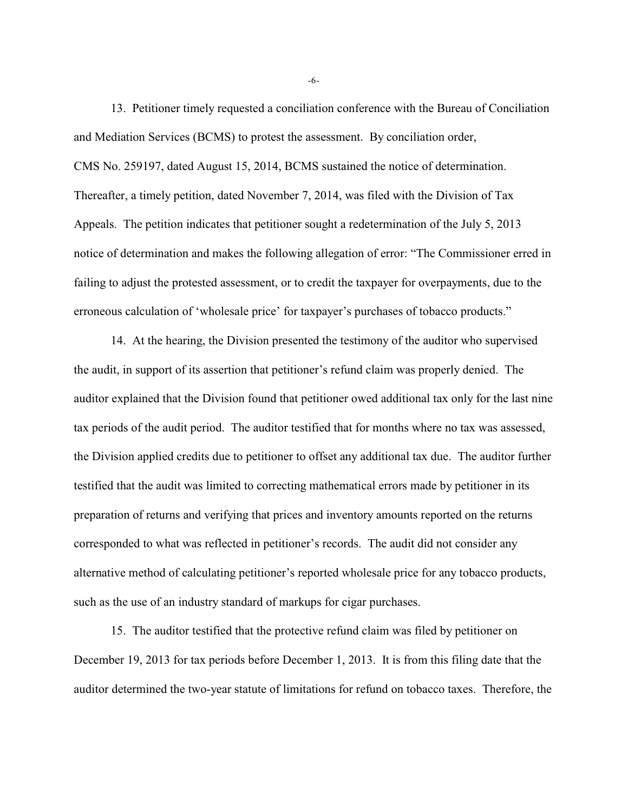13. Petitioner timely requested a conciliation conference with the Bureau of Conciliation and Mediation Services (BCMS) to protest the assessment. By conciliation order, CMS No. 259197, dated August 15, 2014, BCMS sustained the notice of determination. Thereafter, a timely petition, dated November 7, 2014, was filed with the Division of Tax Appeals. The petition indicates that petitioner sought a redetermination of the July 5, 2013 notice of determination and makes the following allegation of error: "The Commissioner erred in failing to adjust the protested assessment, or to credit the taxpayer for overpayments, due to the erroneous calculation of 'wholesale price' for taxpayer's purchases of tobacco products."

14. At the hearing, the Division presented the testimony of the auditor who supervised the audit, in support of its assertion that petitioner's refund claim was properly denied. The auditor explained that the Division found that petitioner owed additional tax only for the last nine tax periods of the audit period. The auditor testified that for months where no tax was assessed, the Division applied credits due to petitioner to offset any additional tax due. The auditor further testified that the audit was limited to correcting mathematical errors made by petitioner in its preparation of returns and verifying that prices and inventory amounts reported on the returns corresponded to what was reflected in petitioner's records. The audit did not consider any alternative method of calculating petitioner's reported wholesale price for any tobacco products, such as the use of an industry standard of markups for cigar purchases.

15. The auditor testified that the protective refund claim was filed by petitioner on December 19, 2013 for tax periods before December 1, 2013. It is from this filing date that the auditor determined the two-year statute of limitations for refund on tobacco taxes. Therefore, the

-6-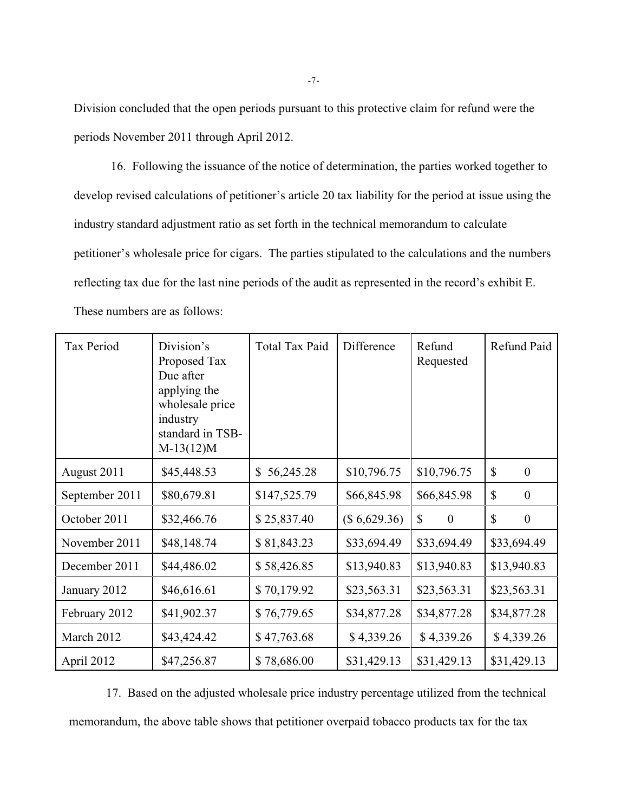Division concluded that the open periods pursuant to this protective claim for refund were the periods November 2011 through April 2012.

16. Following the issuance of the notice of determination, the parties worked together to develop revised calculations of petitioner's article 20 tax liability for the period at issue using the industry standard adjustment ratio as set forth in the technical memorandum to calculate petitioner's wholesale price for cigars. The parties stipulated to the calculations and the numbers reflecting tax due for the last nine periods of the audit as represented in the record's exhibit E. These numbers are as follows:

| Tax Period     | Division's<br>Proposed Tax<br>Due after<br>applying the<br>wholesale price<br>industry<br>standard in TSB-<br>$M-13(12)M$ | <b>Total Tax Paid</b> | Difference   | Refund<br>Requested              | Refund Paid                      |
|----------------|---------------------------------------------------------------------------------------------------------------------------|-----------------------|--------------|----------------------------------|----------------------------------|
| August 2011    | \$45,448.53                                                                                                               | 56,245.28<br>\$       | \$10,796.75  | \$10,796.75                      | \$<br>$\overline{0}$             |
| September 2011 | \$80,679.81                                                                                                               | \$147,525.79          | \$66,845.98  | \$66,845.98                      | $\mathbb{S}$<br>$\mathbf{0}$     |
| October 2011   | \$32,466.76                                                                                                               | \$25,837.40           | (\$6,629.36) | $\mathbb{S}$<br>$\boldsymbol{0}$ | $\mathbb{S}$<br>$\boldsymbol{0}$ |
| November 2011  | \$48,148.74                                                                                                               | \$81,843.23           | \$33,694.49  | \$33,694.49                      | \$33,694.49                      |
| December 2011  | \$44,486.02                                                                                                               | \$58,426.85           | \$13,940.83  | \$13,940.83                      | \$13,940.83                      |
| January 2012   | \$46,616.61                                                                                                               | \$70,179.92           | \$23,563.31  | \$23,563.31                      | \$23,563.31                      |
| February 2012  | \$41,902.37                                                                                                               | \$76,779.65           | \$34,877.28  | \$34,877.28                      | \$34,877.28                      |
| March 2012     | \$43,424.42                                                                                                               | \$47,763.68           | \$4,339.26   | \$4,339.26                       | \$4,339.26                       |
| April 2012     | \$47,256.87                                                                                                               | \$78,686.00           | \$31,429.13  | \$31,429.13                      | \$31,429.13                      |

17. Based on the adjusted wholesale price industry percentage utilized from the technical memorandum, the above table shows that petitioner overpaid tobacco products tax for the tax

-7-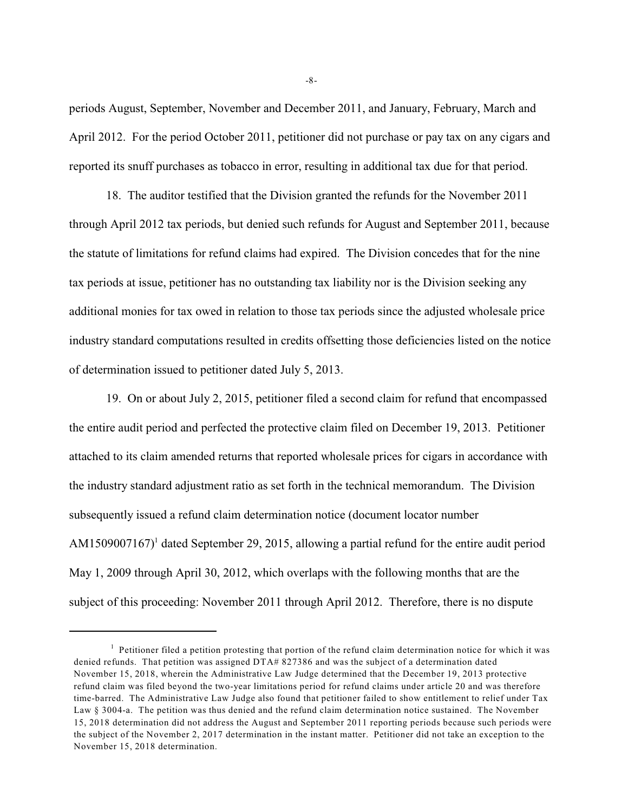periods August, September, November and December 2011, and January, February, March and April 2012. For the period October 2011, petitioner did not purchase or pay tax on any cigars and reported its snuff purchases as tobacco in error, resulting in additional tax due for that period.

18. The auditor testified that the Division granted the refunds for the November 2011 through April 2012 tax periods, but denied such refunds for August and September 2011, because the statute of limitations for refund claims had expired. The Division concedes that for the nine tax periods at issue, petitioner has no outstanding tax liability nor is the Division seeking any additional monies for tax owed in relation to those tax periods since the adjusted wholesale price industry standard computations resulted in credits offsetting those deficiencies listed on the notice of determination issued to petitioner dated July 5, 2013.

19. On or about July 2, 2015, petitioner filed a second claim for refund that encompassed the entire audit period and perfected the protective claim filed on December 19, 2013. Petitioner attached to its claim amended returns that reported wholesale prices for cigars in accordance with the industry standard adjustment ratio as set forth in the technical memorandum. The Division subsequently issued a refund claim determination notice (document locator number AM1509007167 $\mathcal{V}$  dated September 29, 2015, allowing a partial refund for the entire audit period May 1, 2009 through April 30, 2012, which overlaps with the following months that are the subject of this proceeding: November 2011 through April 2012. Therefore, there is no dispute

-8-

 $<sup>1</sup>$  Petitioner filed a petition protesting that portion of the refund claim determination notice for which it was</sup> denied refunds. That petition was assigned DTA# 827386 and was the subject of a determination dated November 15, 2018, wherein the Administrative Law Judge determined that the December 19, 2013 protective refund claim was filed beyond the two-year limitations period for refund claims under article 20 and was therefore time-barred. The Administrative Law Judge also found that petitioner failed to show entitlement to relief under Tax Law § 3004-a. The petition was thus denied and the refund claim determination notice sustained. The November 15, 2018 determination did not address the August and September 2011 reporting periods because such periods were the subject of the November 2, 2017 determination in the instant matter. Petitioner did not take an exception to the November 15, 2018 determination.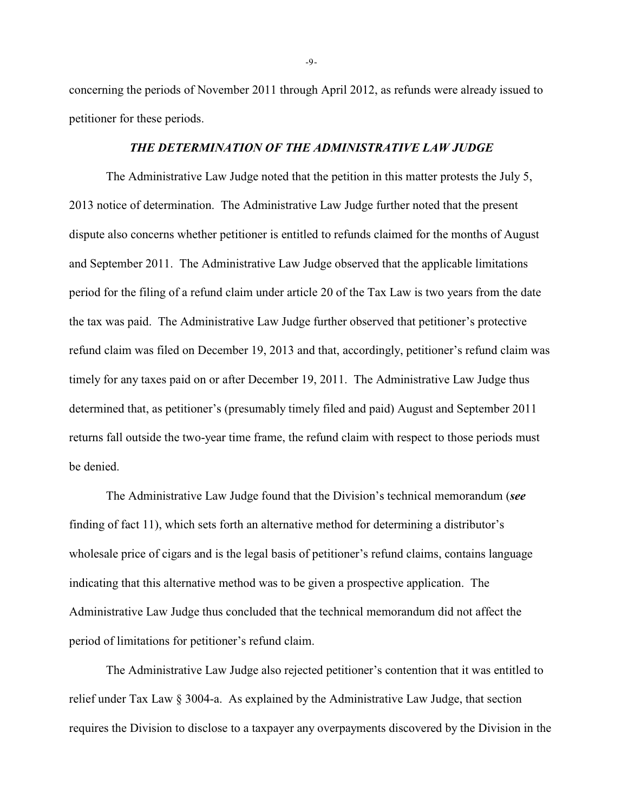concerning the periods of November 2011 through April 2012, as refunds were already issued to petitioner for these periods.

## *THE DETERMINATION OF THE ADMINISTRATIVE LAW JUDGE*

The Administrative Law Judge noted that the petition in this matter protests the July 5, 2013 notice of determination. The Administrative Law Judge further noted that the present dispute also concerns whether petitioner is entitled to refunds claimed for the months of August and September 2011. The Administrative Law Judge observed that the applicable limitations period for the filing of a refund claim under article 20 of the Tax Law is two years from the date the tax was paid. The Administrative Law Judge further observed that petitioner's protective refund claim was filed on December 19, 2013 and that, accordingly, petitioner's refund claim was timely for any taxes paid on or after December 19, 2011. The Administrative Law Judge thus determined that, as petitioner's (presumably timely filed and paid) August and September 2011 returns fall outside the two-year time frame, the refund claim with respect to those periods must be denied.

The Administrative Law Judge found that the Division's technical memorandum (*see* finding of fact 11), which sets forth an alternative method for determining a distributor's wholesale price of cigars and is the legal basis of petitioner's refund claims, contains language indicating that this alternative method was to be given a prospective application. The Administrative Law Judge thus concluded that the technical memorandum did not affect the period of limitations for petitioner's refund claim.

The Administrative Law Judge also rejected petitioner's contention that it was entitled to relief under Tax Law § 3004-a. As explained by the Administrative Law Judge, that section requires the Division to disclose to a taxpayer any overpayments discovered by the Division in the

-9-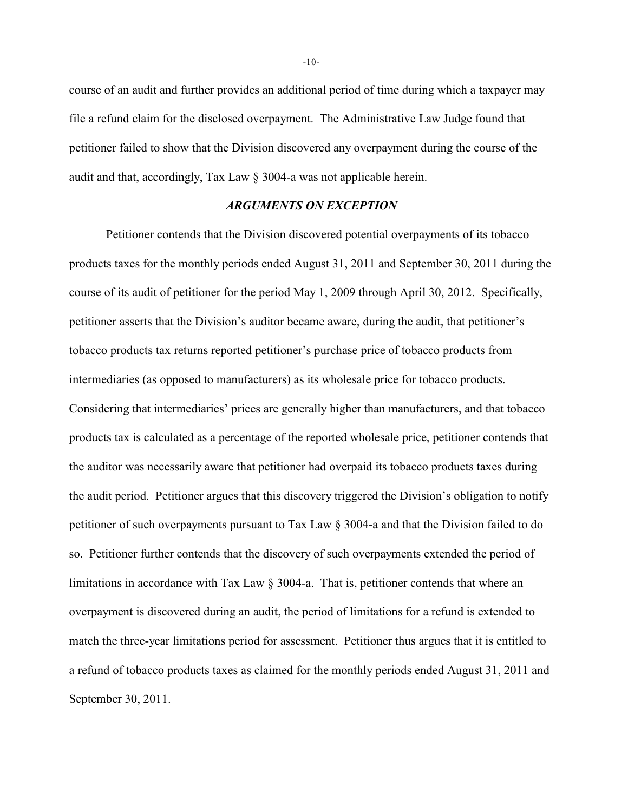course of an audit and further provides an additional period of time during which a taxpayer may file a refund claim for the disclosed overpayment. The Administrative Law Judge found that petitioner failed to show that the Division discovered any overpayment during the course of the audit and that, accordingly, Tax Law § 3004-a was not applicable herein.

#### *ARGUMENTS ON EXCEPTION*

Petitioner contends that the Division discovered potential overpayments of its tobacco products taxes for the monthly periods ended August 31, 2011 and September 30, 2011 during the course of its audit of petitioner for the period May 1, 2009 through April 30, 2012. Specifically, petitioner asserts that the Division's auditor became aware, during the audit, that petitioner's tobacco products tax returns reported petitioner's purchase price of tobacco products from intermediaries (as opposed to manufacturers) as its wholesale price for tobacco products. Considering that intermediaries' prices are generally higher than manufacturers, and that tobacco products tax is calculated as a percentage of the reported wholesale price, petitioner contends that the auditor was necessarily aware that petitioner had overpaid its tobacco products taxes during the audit period. Petitioner argues that this discovery triggered the Division's obligation to notify petitioner of such overpayments pursuant to Tax Law § 3004-a and that the Division failed to do so. Petitioner further contends that the discovery of such overpayments extended the period of limitations in accordance with Tax Law § 3004-a. That is, petitioner contends that where an overpayment is discovered during an audit, the period of limitations for a refund is extended to match the three-year limitations period for assessment. Petitioner thus argues that it is entitled to a refund of tobacco products taxes as claimed for the monthly periods ended August 31, 2011 and September 30, 2011.

-10-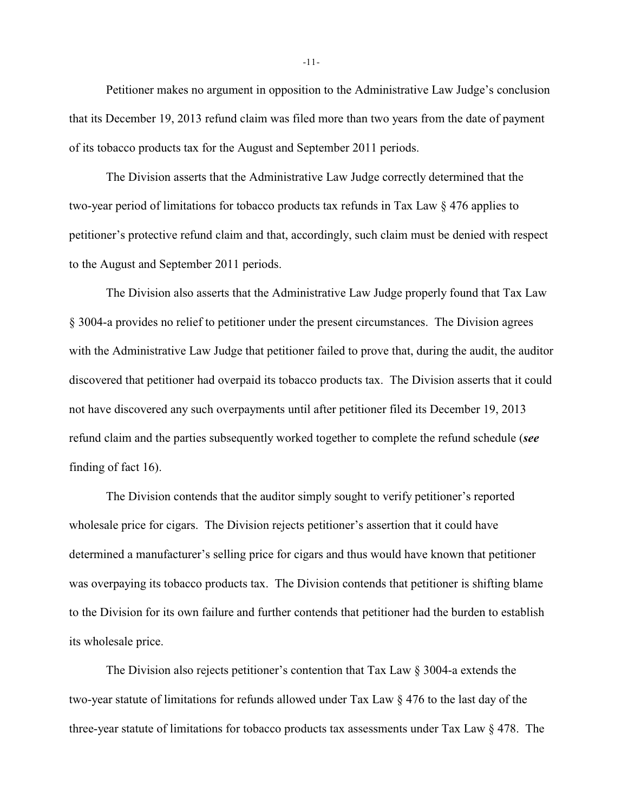Petitioner makes no argument in opposition to the Administrative Law Judge's conclusion that its December 19, 2013 refund claim was filed more than two years from the date of payment of its tobacco products tax for the August and September 2011 periods.

The Division asserts that the Administrative Law Judge correctly determined that the two-year period of limitations for tobacco products tax refunds in Tax Law § 476 applies to petitioner's protective refund claim and that, accordingly, such claim must be denied with respect to the August and September 2011 periods.

The Division also asserts that the Administrative Law Judge properly found that Tax Law § 3004-a provides no relief to petitioner under the present circumstances. The Division agrees with the Administrative Law Judge that petitioner failed to prove that, during the audit, the auditor discovered that petitioner had overpaid its tobacco products tax. The Division asserts that it could not have discovered any such overpayments until after petitioner filed its December 19, 2013 refund claim and the parties subsequently worked together to complete the refund schedule (*see* finding of fact 16).

The Division contends that the auditor simply sought to verify petitioner's reported wholesale price for cigars. The Division rejects petitioner's assertion that it could have determined a manufacturer's selling price for cigars and thus would have known that petitioner was overpaying its tobacco products tax. The Division contends that petitioner is shifting blame to the Division for its own failure and further contends that petitioner had the burden to establish its wholesale price.

The Division also rejects petitioner's contention that Tax Law § 3004-a extends the two-year statute of limitations for refunds allowed under Tax Law  $\S 476$  to the last day of the three-year statute of limitations for tobacco products tax assessments under Tax Law  $\S 478$ . The

-11-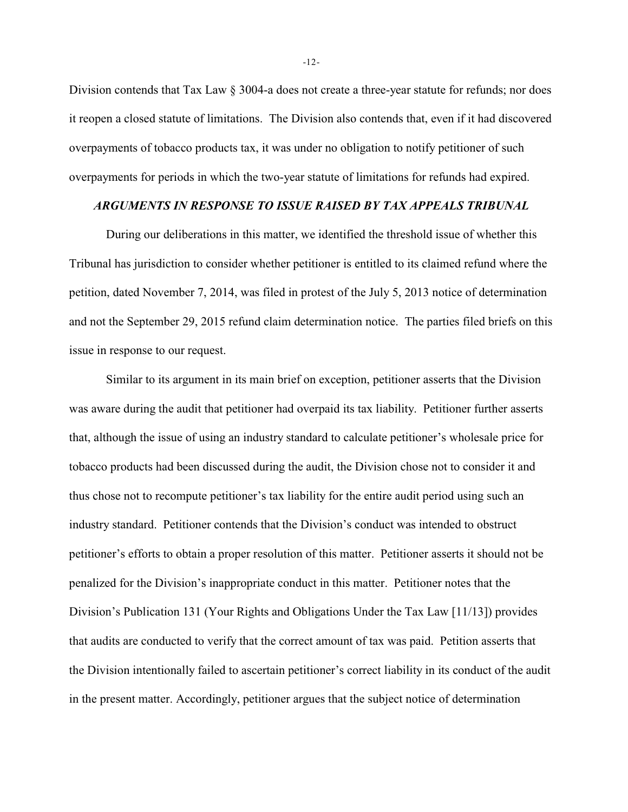Division contends that Tax Law § 3004-a does not create a three-year statute for refunds; nor does it reopen a closed statute of limitations. The Division also contends that, even if it had discovered overpayments of tobacco products tax, it was under no obligation to notify petitioner of such overpayments for periods in which the two-year statute of limitations for refunds had expired.

## *ARGUMENTS IN RESPONSE TO ISSUE RAISED BY TAX APPEALS TRIBUNAL*

During our deliberations in this matter, we identified the threshold issue of whether this Tribunal has jurisdiction to consider whether petitioner is entitled to its claimed refund where the petition, dated November 7, 2014, was filed in protest of the July 5, 2013 notice of determination and not the September 29, 2015 refund claim determination notice. The parties filed briefs on this issue in response to our request.

Similar to its argument in its main brief on exception, petitioner asserts that the Division was aware during the audit that petitioner had overpaid its tax liability. Petitioner further asserts that, although the issue of using an industry standard to calculate petitioner's wholesale price for tobacco products had been discussed during the audit, the Division chose not to consider it and thus chose not to recompute petitioner's tax liability for the entire audit period using such an industry standard. Petitioner contends that the Division's conduct was intended to obstruct petitioner's efforts to obtain a proper resolution of this matter. Petitioner asserts it should not be penalized for the Division's inappropriate conduct in this matter. Petitioner notes that the Division's Publication 131 (Your Rights and Obligations Under the Tax Law [11/13]) provides that audits are conducted to verify that the correct amount of tax was paid. Petition asserts that the Division intentionally failed to ascertain petitioner's correct liability in its conduct of the audit in the present matter. Accordingly, petitioner argues that the subject notice of determination

-12-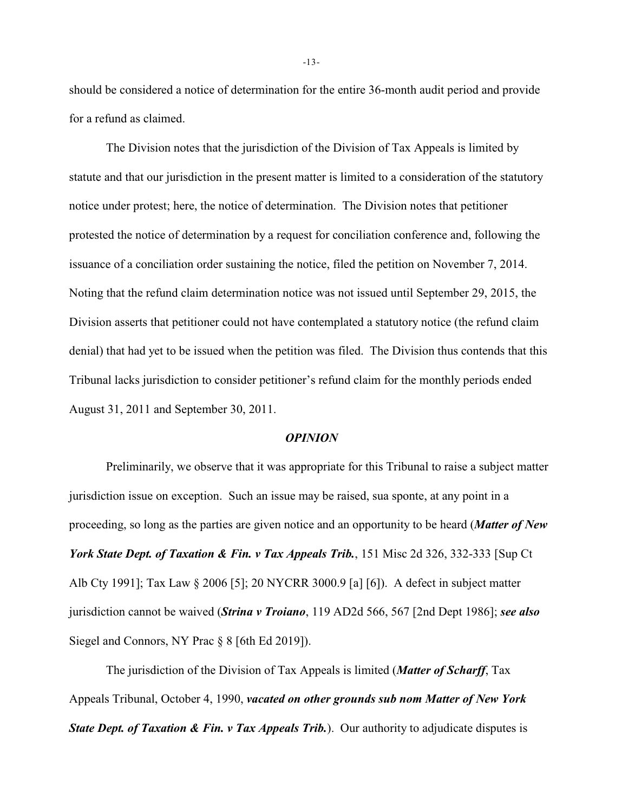should be considered a notice of determination for the entire 36-month audit period and provide for a refund as claimed.

The Division notes that the jurisdiction of the Division of Tax Appeals is limited by statute and that our jurisdiction in the present matter is limited to a consideration of the statutory notice under protest; here, the notice of determination. The Division notes that petitioner protested the notice of determination by a request for conciliation conference and, following the issuance of a conciliation order sustaining the notice, filed the petition on November 7, 2014. Noting that the refund claim determination notice was not issued until September 29, 2015, the Division asserts that petitioner could not have contemplated a statutory notice (the refund claim denial) that had yet to be issued when the petition was filed. The Division thus contends that this Tribunal lacks jurisdiction to consider petitioner's refund claim for the monthly periods ended August 31, 2011 and September 30, 2011.

#### *OPINION*

Preliminarily, we observe that it was appropriate for this Tribunal to raise a subject matter jurisdiction issue on exception. Such an issue may be raised, sua sponte, at any point in a proceeding, so long as the parties are given notice and an opportunity to be heard (*Matter of New York State Dept. of Taxation & Fin. v Tax Appeals Trib.*, 151 Misc 2d 326, 332-333 [Sup Ct Alb Cty 1991]; Tax Law § 2006 [5]; 20 NYCRR 3000.9 [a] [6]). A defect in subject matter jurisdiction cannot be waived (*Strina v Troiano*, 119 AD2d 566, 567 [2nd Dept 1986]; *see also* Siegel and Connors, NY Prac § 8 [6th Ed 2019]).

The jurisdiction of the Division of Tax Appeals is limited (*Matter of Scharff*, Tax Appeals Tribunal, October 4, 1990, *vacated on other grounds sub nom Matter of New York State Dept. of Taxation & Fin. v Tax Appeals Trib.***). Our authority to adjudicate disputes is** 

-13-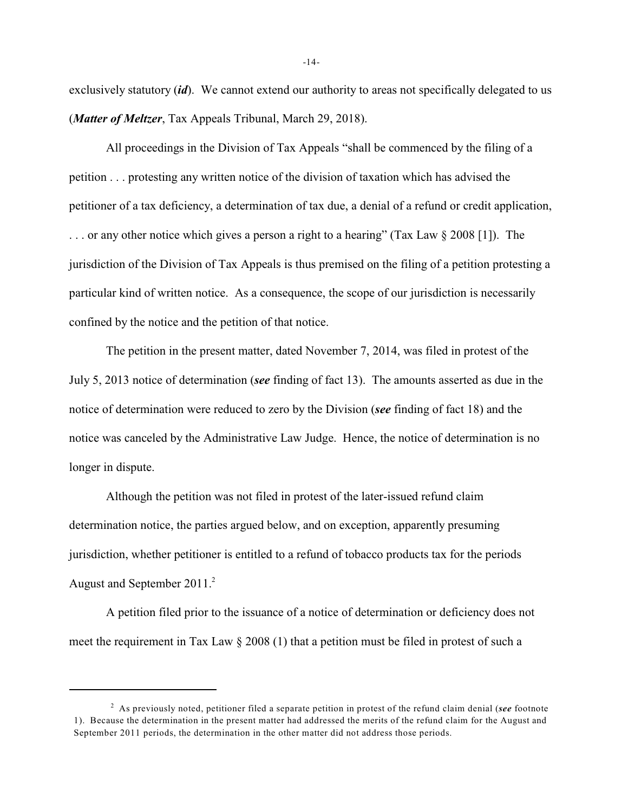exclusively statutory *(id)*. We cannot extend our authority to areas not specifically delegated to us (*Matter of Meltzer*, Tax Appeals Tribunal, March 29, 2018).

All proceedings in the Division of Tax Appeals "shall be commenced by the filing of a petition . . . protesting any written notice of the division of taxation which has advised the petitioner of a tax deficiency, a determination of tax due, a denial of a refund or credit application, . . . or any other notice which gives a person a right to a hearing" (Tax Law § 2008 [1]). The jurisdiction of the Division of Tax Appeals is thus premised on the filing of a petition protesting a particular kind of written notice. As a consequence, the scope of our jurisdiction is necessarily confined by the notice and the petition of that notice.

The petition in the present matter, dated November 7, 2014, was filed in protest of the July 5, 2013 notice of determination (*see* finding of fact 13). The amounts asserted as due in the notice of determination were reduced to zero by the Division (*see* finding of fact 18) and the notice was canceled by the Administrative Law Judge. Hence, the notice of determination is no longer in dispute.

Although the petition was not filed in protest of the later-issued refund claim determination notice, the parties argued below, and on exception, apparently presuming jurisdiction, whether petitioner is entitled to a refund of tobacco products tax for the periods August and September 2011.<sup>2</sup>

A petition filed prior to the issuance of a notice of determination or deficiency does not meet the requirement in Tax Law  $\S 2008$  (1) that a petition must be filed in protest of such a

-14-

<sup>&</sup>lt;sup>2</sup> As previously noted, petitioner filed a separate petition in protest of the refund claim denial (*see* footnote 1). Because the determination in the present matter had addressed the merits of the refund claim for the August and September 2011 periods, the determination in the other matter did not address those periods.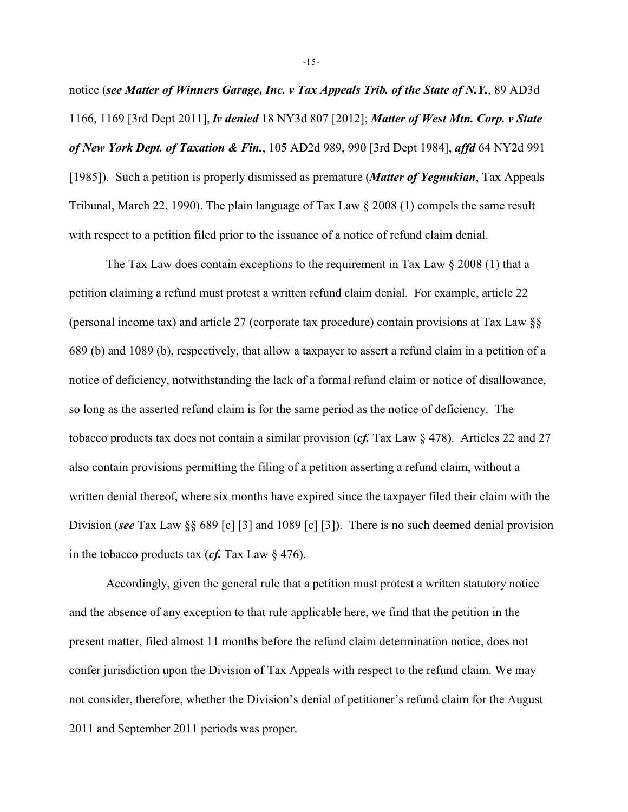notice (*see Matter of Winners Garage, Inc. v Tax Appeals Trib. of the State of N.Y.*, 89 AD3d 1166, 1169 [3rd Dept 2011], *lv denied* 18 NY3d 807 [2012]; *Matter of West Mtn. Corp. v State of New York Dept. of Taxation & Fin.*, 105 AD2d 989, 990 [3rd Dept 1984], *affd* 64 NY2d 991 [1985]). Such a petition is properly dismissed as premature (*Matter of Yegnukian*, Tax Appeals Tribunal, March 22, 1990). The plain language of Tax Law  $\S 2008$  (1) compels the same result with respect to a petition filed prior to the issuance of a notice of refund claim denial.

The Tax Law does contain exceptions to the requirement in Tax Law § 2008 (1) that a petition claiming a refund must protest a written refund claim denial. For example, article 22 (personal income tax) and article 27 (corporate tax procedure) contain provisions at Tax Law §§ 689 (b) and 1089 (b), respectively, that allow a taxpayer to assert a refund claim in a petition of a notice of deficiency, notwithstanding the lack of a formal refund claim or notice of disallowance, so long as the asserted refund claim is for the same period as the notice of deficiency. The tobacco products tax does not contain a similar provision (*cf.* Tax Law § 478). Articles 22 and 27 also contain provisions permitting the filing of a petition asserting a refund claim, without a written denial thereof, where six months have expired since the taxpayer filed their claim with the Division (*see* Tax Law §§ 689 [c] [3] and 1089 [c] [3]). There is no such deemed denial provision in the tobacco products tax ( $cf.$  Tax Law  $\S$  476).

Accordingly, given the general rule that a petition must protest a written statutory notice and the absence of any exception to that rule applicable here, we find that the petition in the present matter, filed almost 11 months before the refund claim determination notice, does not confer jurisdiction upon the Division of Tax Appeals with respect to the refund claim. We may not consider, therefore, whether the Division's denial of petitioner's refund claim for the August 2011 and September 2011 periods was proper.

-15-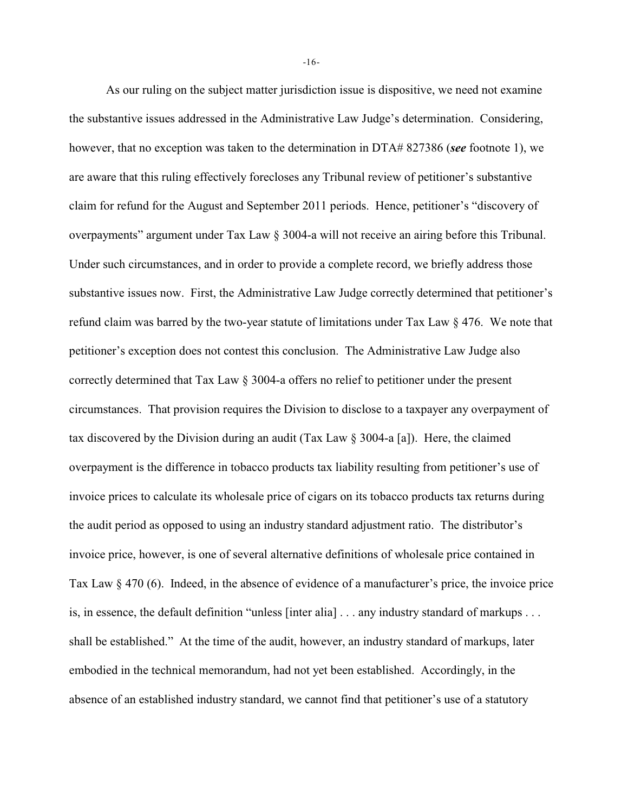As our ruling on the subject matter jurisdiction issue is dispositive, we need not examine the substantive issues addressed in the Administrative Law Judge's determination. Considering, however, that no exception was taken to the determination in DTA# 827386 (*see* footnote 1), we are aware that this ruling effectively forecloses any Tribunal review of petitioner's substantive claim for refund for the August and September 2011 periods. Hence, petitioner's "discovery of overpayments" argument under Tax Law § 3004-a will not receive an airing before this Tribunal. Under such circumstances, and in order to provide a complete record, we briefly address those substantive issues now. First, the Administrative Law Judge correctly determined that petitioner's refund claim was barred by the two-year statute of limitations under Tax Law § 476. We note that petitioner's exception does not contest this conclusion. The Administrative Law Judge also correctly determined that Tax Law § 3004-a offers no relief to petitioner under the present circumstances. That provision requires the Division to disclose to a taxpayer any overpayment of tax discovered by the Division during an audit (Tax Law  $\S 3004$ -a [a]). Here, the claimed overpayment is the difference in tobacco products tax liability resulting from petitioner's use of invoice prices to calculate its wholesale price of cigars on its tobacco products tax returns during the audit period as opposed to using an industry standard adjustment ratio. The distributor's invoice price, however, is one of several alternative definitions of wholesale price contained in Tax Law § 470 (6). Indeed, in the absence of evidence of a manufacturer's price, the invoice price is, in essence, the default definition "unless [inter alia] . . . any industry standard of markups . . . shall be established." At the time of the audit, however, an industry standard of markups, later embodied in the technical memorandum, had not yet been established. Accordingly, in the absence of an established industry standard, we cannot find that petitioner's use of a statutory

-16-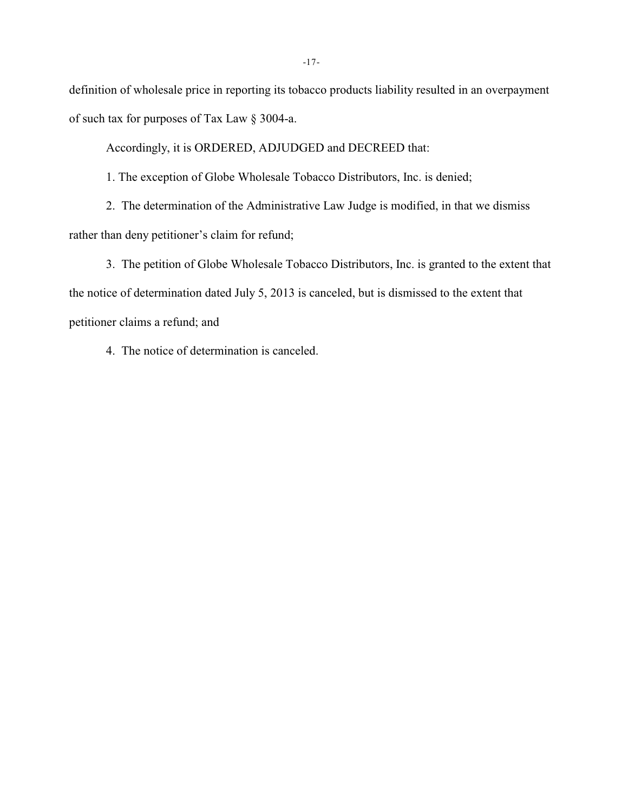definition of wholesale price in reporting its tobacco products liability resulted in an overpayment of such tax for purposes of Tax Law § 3004-a.

Accordingly, it is ORDERED, ADJUDGED and DECREED that:

1. The exception of Globe Wholesale Tobacco Distributors, Inc. is denied;

2. The determination of the Administrative Law Judge is modified, in that we dismiss rather than deny petitioner's claim for refund;

3. The petition of Globe Wholesale Tobacco Distributors, Inc. is granted to the extent that the notice of determination dated July 5, 2013 is canceled, but is dismissed to the extent that petitioner claims a refund; and

4. The notice of determination is canceled.